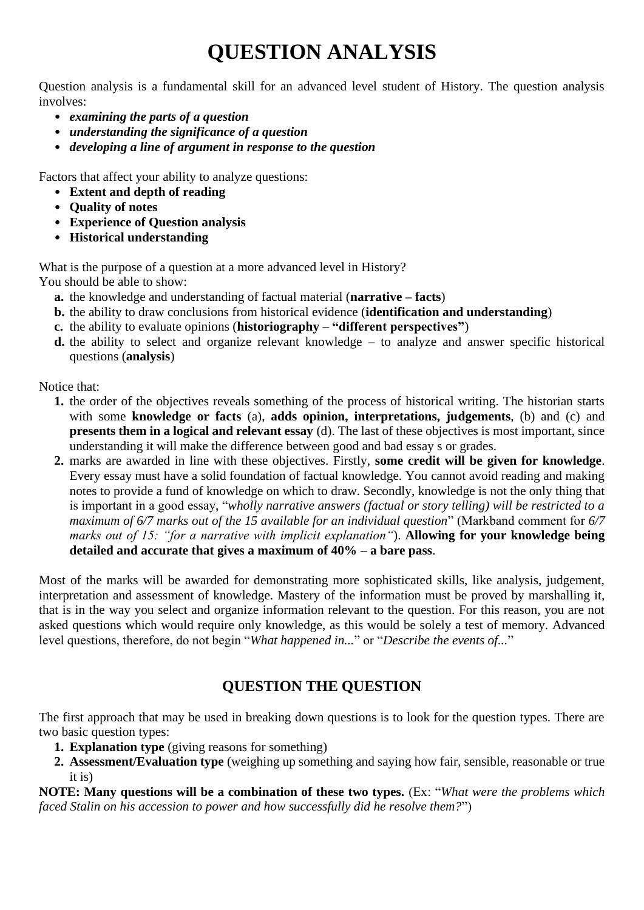## **QUESTION ANALYSIS**

Question analysis is a fundamental skill for an advanced level student of History. The question analysis involves:

- *examining the parts of a question*
- *understanding the significance of a question*
- *developing a line of argument in response to the question*

Factors that affect your ability to analyze questions:

- **Extent and depth of reading**
- **Quality of notes**
- **Experience of Question analysis**
- **Historical understanding**

What is the purpose of a question at a more advanced level in History? You should be able to show:

- **a.** the knowledge and understanding of factual material (**narrative – facts**)
- **b.** the ability to draw conclusions from historical evidence (**identification and understanding**)
- **c.** the ability to evaluate opinions (**historiography – "different perspectives"**)
- **d.** the ability to select and organize relevant knowledge to analyze and answer specific historical questions (**analysis**)

Notice that:

- **1.** the order of the objectives reveals something of the process of historical writing. The historian starts with some **knowledge or facts** (a), **adds opinion, interpretations, judgements**, (b) and (c) and **presents them in a logical and relevant essay** (d). The last of these objectives is most important, since understanding it will make the difference between good and bad essay s or grades.
- **2.** marks are awarded in line with these objectives. Firstly, **some credit will be given for knowledge**. Every essay must have a solid foundation of factual knowledge. You cannot avoid reading and making notes to provide a fund of knowledge on which to draw. Secondly, knowledge is not the only thing that is important in a good essay, "*wholly narrative answers (factual or story telling) will be restricted to a maximum of 6/7 marks out of the 15 available for an individual question*" (Markband comment for *6/7 marks out of 15: "for a narrative with implicit explanation"*). **Allowing for your knowledge being detailed and accurate that gives a maximum of 40% – a bare pass**.

Most of the marks will be awarded for demonstrating more sophisticated skills, like analysis, judgement, interpretation and assessment of knowledge. Mastery of the information must be proved by marshalling it, that is in the way you select and organize information relevant to the question. For this reason, you are not asked questions which would require only knowledge, as this would be solely a test of memory. Advanced level questions, therefore, do not begin "*What happened in...*" or "*Describe the events of...*"

## **QUESTION THE QUESTION**

The first approach that may be used in breaking down questions is to look for the question types. There are two basic question types:

- **1. Explanation type** (giving reasons for something)
- **2. Assessment/Evaluation type** (weighing up something and saying how fair, sensible, reasonable or true it is)

**NOTE: Many questions will be a combination of these two types.** (Ex: "*What were the problems which faced Stalin on his accession to power and how successfully did he resolve them?*")